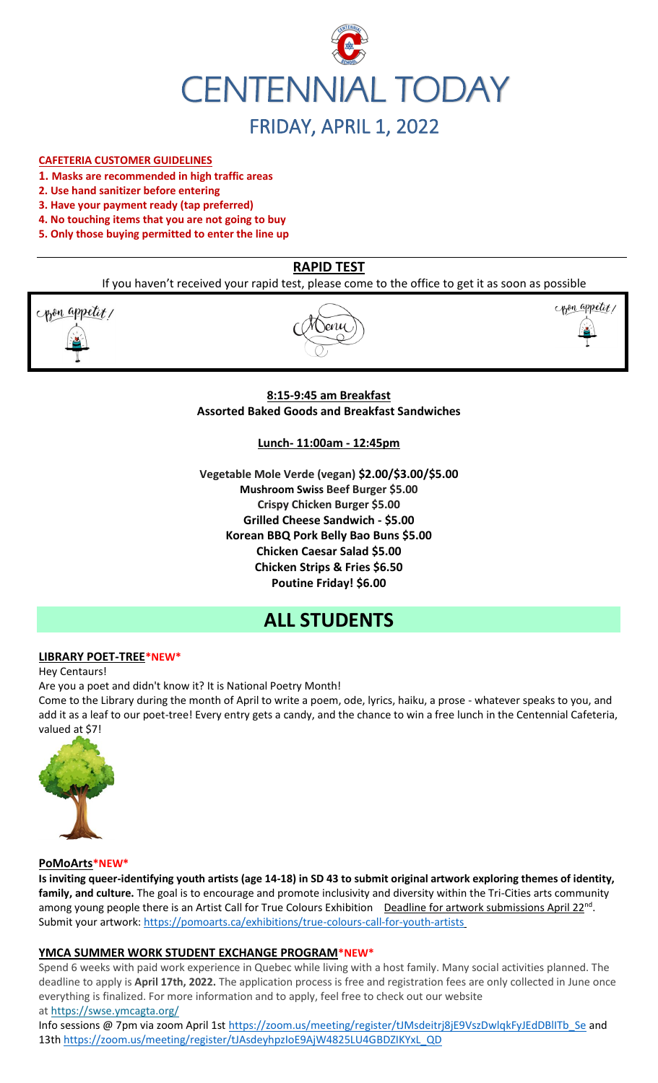

### **CAFETERIA CUSTOMER GUIDELINES**

- **1. Masks are recommended in high traffic areas**
- **2. Use hand sanitizer before entering**
- **3. Have your payment ready (tap preferred)**
- **4. No touching items that you are not going to buy**
- **5. Only those buying permitted to enter the line up**

# **RAPID TEST**

If you haven't received your rapid test, please come to the office to get it as soon as possible

pon appetit!





### **8:15-9:45 am Breakfast Assorted Baked Goods and Breakfast Sandwiches**

### **Lunch- 11:00am - 12:45pm**

**Vegetable Mole Verde (vegan) \$2.00/\$3.00/\$5.00 Mushroom Swiss Beef Burger \$5.00 Crispy Chicken Burger \$5.00 Grilled Cheese Sandwich - \$5.00 Korean BBQ Pork Belly Bao Buns \$5.00 Chicken Caesar Salad \$5.00 Chicken Strips & Fries \$6.50 Poutine Friday! \$6.00**

# **ALL STUDENTS**

### **LIBRARY POET-TREE\*NEW\***

Hey Centaurs!

Are you a poet and didn't know it? It is National Poetry Month!

Come to the Library during the month of April to write a poem, ode, lyrics, haiku, a prose - whatever speaks to you, and add it as a leaf to our poet-tree! Every entry gets a candy, and the chance to win a free lunch in the Centennial Cafeteria, valued at \$7!



### **PoMoArts\*NEW\***

**Is inviting queer-identifying youth artists (age 14-18) in SD 43 to submit original artwork exploring themes of identity, family, and culture.** The goal is to encourage and promote inclusivity and diversity within the Tri-Cities arts community among young people there is an Artist Call for True Colours Exhibition Deadline for artwork submissions April 22<sup>nd</sup>. Submit your artwork[: https://pomoarts.ca/exhibitions/true-colours-call-for-youth-artists](https://pomoarts.ca/exhibitions/true-colours-call-for-youth-artists)

# **YMCA SUMMER WORK STUDENT EXCHANGE PROGRAM\*NEW\***

Spend 6 weeks with paid work experience in Quebec while living with a host family. Many social activities planned. The deadline to apply is **April 17th, 2022.** The application process is free and registration fees are only collected in June once everything is finalized. For more information and to apply, feel free to check out our website at <https://swse.ymcagta.org/>

Info sessions @ 7pm via zoom April 1s[t https://zoom.us/meeting/register/tJMsdeitrj8jE9VszDwlqkFyJEdDBlITb\\_Se](https://zoom.us/meeting/register/tJMsdeitrj8jE9VszDwlqkFyJEdDBlITb_Se) and 13th [https://zoom.us/meeting/register/tJAsdeyhpzIoE9AjW4825LU4GBDZIKYxL\\_QD](https://zoom.us/meeting/register/tJAsdeyhpzIoE9AjW4825LU4GBDZIKYxL_QD)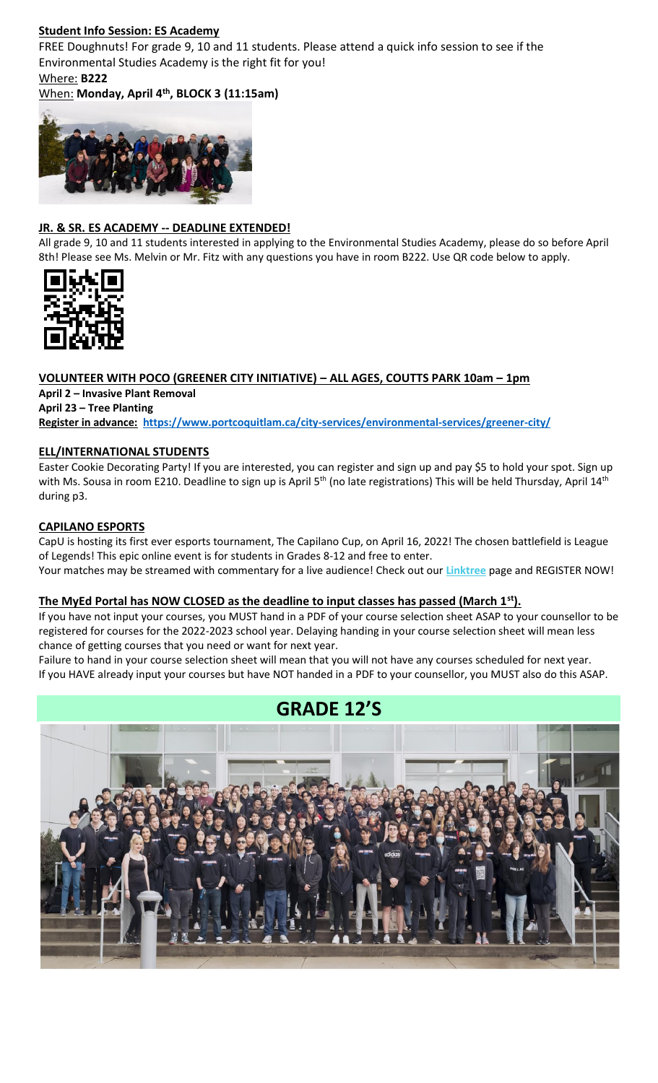# **Student Info Session: ES Academy**

FREE Doughnuts! For grade 9, 10 and 11 students. Please attend a quick info session to see if the Environmental Studies Academy is the right fit for you!

# Where: **B222**

# When: **Monday, April 4th, BLOCK 3 (11:15am)**



# **JR. & SR. ES ACADEMY -- DEADLINE EXTENDED!**

All grade 9, 10 and 11 students interested in applying to the Environmental Studies Academy, please do so before April 8th! Please see Ms. Melvin or Mr. Fitz with any questions you have in room B222. Use QR code below to apply.



### **VOLUNTEER WITH POCO (GREENER CITY INITIATIVE) – ALL AGES, COUTTS PARK 10am – 1pm April 2 – Invasive Plant Removal April 23 – Tree Planting Register in advance: <https://www.portcoquitlam.ca/city-services/environmental-services/greener-city/>**

# **ELL/INTERNATIONAL STUDENTS**

Easter Cookie Decorating Party! If you are interested, you can register and sign up and pay \$5 to hold your spot. Sign up with Ms. Sousa in room E210. Deadline to sign up is April 5<sup>th</sup> (no late registrations) This will be held Thursday, April 14<sup>th</sup> during p3.

# **CAPILANO ESPORTS**

CapU is hosting its first ever esports tournament, The Capilano Cup, on April 16, 2022! The chosen battlefield is League of Legends! This epic online event is for students in Grades 8-12 and free to enter. Your matches may be streamed with commentary for a live audience! Check out our **[Linktree](https://r20.rs6.net/tn.jsp?f=001TV5t6hvFEFpmqZ2KIJsRm_8_tZvmBTskK5EZhuhAwnd-AsBblXHT0oLCkv240W_X6yn70vNSoZMhpHydzQFokmFJte1QihkOmWyHEEdpefQQkF2m95hL64lqlrIm0DP1OmyM7kg-aupFxN5c0Zflag==&c=xWxYCxrh0jI56wNEyWlUltDjoDxbuS7cAkcm-CGdbhXD_wkXysw4wQ==&ch=hXVfGtAgW-ZP40ONb-DXcfozpnjfYR8-9naNHp1boINpgvZcTLJVsw==)** page and REGISTER NOW!

# **The MyEd Portal has NOW CLOSED as the deadline to input classes has passed (March 1st).**

If you have not input your courses, you MUST hand in a PDF of your course selection sheet ASAP to your counsellor to be registered for courses for the 2022-2023 school year. Delaying handing in your course selection sheet will mean less chance of getting courses that you need or want for next year.

Failure to hand in your course selection sheet will mean that you will not have any courses scheduled for next year. If you HAVE already input your courses but have NOT handed in a PDF to your counsellor, you MUST also do this ASAP.

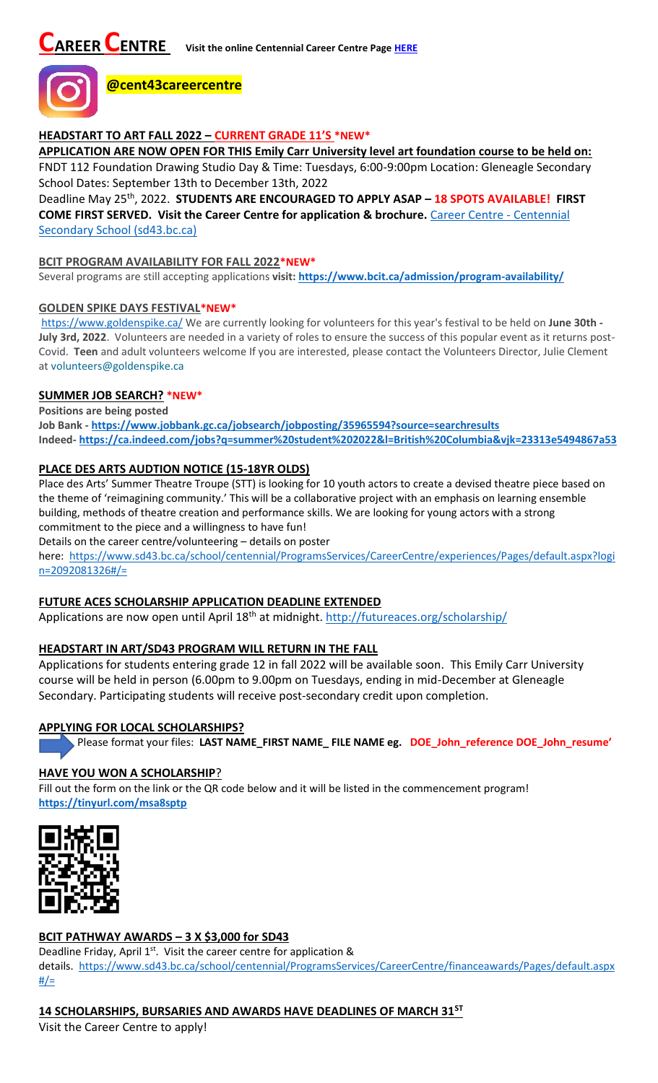

# **HEADSTART TO ART FALL 2022 – CURRENT GRADE 11'S \*NEW\***

**APPLICATION ARE NOW OPEN FOR THIS Emily Carr University level art foundation course to be held on:** FNDT 112 Foundation Drawing Studio Day & Time: Tuesdays, 6:00-9:00pm Location: Gleneagle Secondary

School Dates: September 13th to December 13th, 2022 Deadline May 25th, 2022. **STUDENTS ARE ENCOURAGED TO APPLY ASAP – 18 SPOTS AVAILABLE! FIRST COME FIRST SERVED. Visit the Career Centre for application & brochure.** [Career Centre -](https://www.sd43.bc.ca/school/centennial/ProgramsServices/CareerCentre/postsecondary/Pages/default.aspx#/=) Centennial [Secondary School \(sd43.bc.ca\)](https://www.sd43.bc.ca/school/centennial/ProgramsServices/CareerCentre/postsecondary/Pages/default.aspx#/=)

# **BCIT PROGRAM AVAILABILITY FOR FALL 2022\*NEW\***

Several programs are still accepting applications **visit[: https://www.bcit.ca/admission/program-availability/](https://www.bcit.ca/admission/program-availability/)**

### **GOLDEN SPIKE DAYS FESTIVAL\*NEW\***

<https://www.goldenspike.ca/> We are currently looking for volunteers for this year's festival to be held on **June 30th - July 3rd, 2022**. Volunteers are needed in a variety of roles to ensure the success of this popular event as it returns post-Covid. **Teen** and adult volunteers welcome If you are interested, please contact the Volunteers Director, Julie Clement at [volunteers@goldenspike.ca](mailto:volunteers@goldenspike.ca)

### **SUMMER JOB SEARCH? \*NEW\***

**Positions are being posted Job Bank - <https://www.jobbank.gc.ca/jobsearch/jobposting/35965594?source=searchresults> Indeed- <https://ca.indeed.com/jobs?q=summer%20student%202022&l=British%20Columbia&vjk=23313e5494867a53>**

# **PLACE DES ARTS AUDTION NOTICE (15-18YR OLDS)**

Place des Arts' Summer Theatre Troupe (STT) is looking for 10 youth actors to create a devised theatre piece based on the theme of 'reimagining community.' This will be a collaborative project with an emphasis on learning ensemble building, methods of theatre creation and performance skills. We are looking for young actors with a strong commitment to the piece and a willingness to have fun!

Details on the career centre/volunteering – details on poster

here: [https://www.sd43.bc.ca/school/centennial/ProgramsServices/CareerCentre/experiences/Pages/default.aspx?logi](https://www.sd43.bc.ca/school/centennial/ProgramsServices/CareerCentre/experiences/Pages/default.aspx?login=2092081326#/=) [n=2092081326#/=](https://www.sd43.bc.ca/school/centennial/ProgramsServices/CareerCentre/experiences/Pages/default.aspx?login=2092081326#/=)

# **FUTURE ACES SCHOLARSHIP APPLICATION DEADLINE EXTENDED**

Applications are now open until April 18<sup>th</sup> at midnight.<http://futureaces.org/scholarship/>

# **HEADSTART IN ART/SD43 PROGRAM WILL RETURN IN THE FALL**

Applications for students entering grade 12 in fall 2022 will be available soon. This Emily Carr University course will be held in person (6.00pm to 9.00pm on Tuesdays, ending in mid-December at Gleneagle Secondary. Participating students will receive post-secondary credit upon completion.

# **APPLYING FOR LOCAL SCHOLARSHIPS?**

Please format your files: **LAST NAME\_FIRST NAME\_ FILE NAME eg. DOE\_John\_reference DOE\_John\_resume'**

# **HAVE YOU WON A SCHOLARSHIP**?

Fill out the form on the link or the QR code below and it will be listed in the commencement program! **<https://tinyurl.com/msa8sptp>**



# **BCIT PATHWAY AWARDS – 3 X \$3,000 for SD43**

Deadline Friday, April  $1<sup>st</sup>$ . Visit the career centre for application & details. [https://www.sd43.bc.ca/school/centennial/ProgramsServices/CareerCentre/financeawards/Pages/default.aspx](https://www.sd43.bc.ca/school/centennial/ProgramsServices/CareerCentre/financeawards/Pages/default.aspx#/=)  $#/=$ 

# **14 SCHOLARSHIPS, BURSARIES AND AWARDS HAVE DEADLINES OF MARCH 31ST**

Visit the Career Centre to apply!